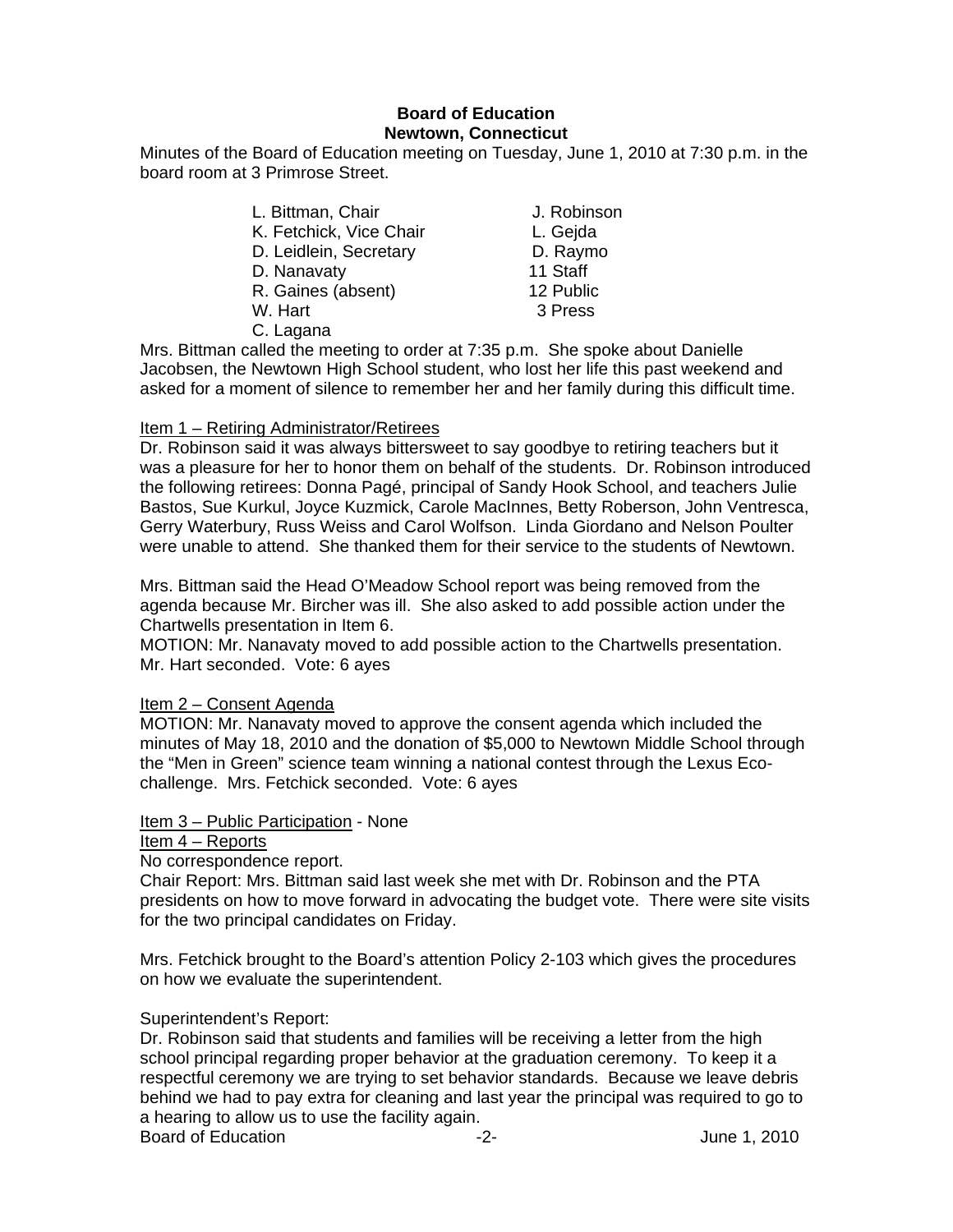# **Board of Education Newtown, Connecticut**

Minutes of the Board of Education meeting on Tuesday, June 1, 2010 at 7:30 p.m. in the board room at 3 Primrose Street.

- L. Bittman, Chair **J. Robinson** K. Fetchick, Vice Chair L. Gejda D. Leidlein, Secretary D. Raymo D. Nanavaty 11 Staff
	- R. Gaines (absent) 12 Public
	- W. Hart 3 Press
	-
- 
- 
- 
- 
- 
- 

C. Lagana

Mrs. Bittman called the meeting to order at 7:35 p.m. She spoke about Danielle Jacobsen, the Newtown High School student, who lost her life this past weekend and asked for a moment of silence to remember her and her family during this difficult time.

## Item 1 – Retiring Administrator/Retirees

Dr. Robinson said it was always bittersweet to say goodbye to retiring teachers but it was a pleasure for her to honor them on behalf of the students. Dr. Robinson introduced the following retirees: Donna Pagé, principal of Sandy Hook School, and teachers Julie Bastos, Sue Kurkul, Joyce Kuzmick, Carole MacInnes, Betty Roberson, John Ventresca, Gerry Waterbury, Russ Weiss and Carol Wolfson. Linda Giordano and Nelson Poulter were unable to attend. She thanked them for their service to the students of Newtown.

Mrs. Bittman said the Head O'Meadow School report was being removed from the agenda because Mr. Bircher was ill. She also asked to add possible action under the Chartwells presentation in Item 6.

MOTION: Mr. Nanavaty moved to add possible action to the Chartwells presentation. Mr. Hart seconded. Vote: 6 ayes

### Item 2 – Consent Agenda

MOTION: Mr. Nanavaty moved to approve the consent agenda which included the minutes of May 18, 2010 and the donation of \$5,000 to Newtown Middle School through the "Men in Green" science team winning a national contest through the Lexus Ecochallenge. Mrs. Fetchick seconded. Vote: 6 ayes

## Item 3 – Public Participation - None

### Item 4 – Reports

No correspondence report.

Chair Report: Mrs. Bittman said last week she met with Dr. Robinson and the PTA presidents on how to move forward in advocating the budget vote. There were site visits for the two principal candidates on Friday.

Mrs. Fetchick brought to the Board's attention Policy 2-103 which gives the procedures on how we evaluate the superintendent.

## Superintendent's Report:

Dr. Robinson said that students and families will be receiving a letter from the high school principal regarding proper behavior at the graduation ceremony. To keep it a respectful ceremony we are trying to set behavior standards. Because we leave debris behind we had to pay extra for cleaning and last year the principal was required to go to a hearing to allow us to use the facility again. Board of Education **-2-** Figure 1, 2010 **-2-** Figure 1, 2010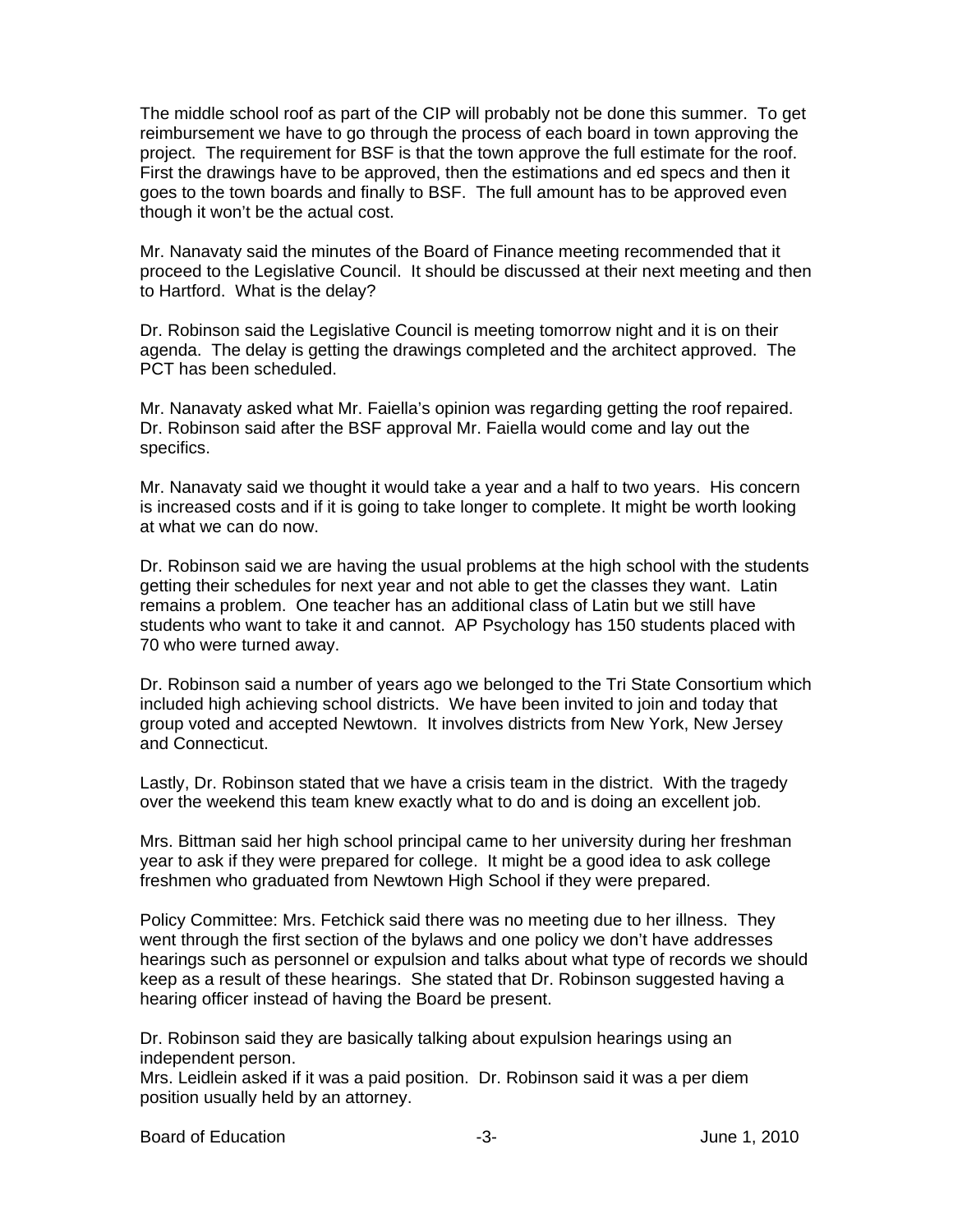The middle school roof as part of the CIP will probably not be done this summer. To get reimbursement we have to go through the process of each board in town approving the project. The requirement for BSF is that the town approve the full estimate for the roof. First the drawings have to be approved, then the estimations and ed specs and then it goes to the town boards and finally to BSF. The full amount has to be approved even though it won't be the actual cost.

Mr. Nanavaty said the minutes of the Board of Finance meeting recommended that it proceed to the Legislative Council. It should be discussed at their next meeting and then to Hartford. What is the delay?

Dr. Robinson said the Legislative Council is meeting tomorrow night and it is on their agenda. The delay is getting the drawings completed and the architect approved. The PCT has been scheduled.

Mr. Nanavaty asked what Mr. Faiella's opinion was regarding getting the roof repaired. Dr. Robinson said after the BSF approval Mr. Faiella would come and lay out the specifics.

Mr. Nanavaty said we thought it would take a year and a half to two years. His concern is increased costs and if it is going to take longer to complete. It might be worth looking at what we can do now.

Dr. Robinson said we are having the usual problems at the high school with the students getting their schedules for next year and not able to get the classes they want. Latin remains a problem. One teacher has an additional class of Latin but we still have students who want to take it and cannot. AP Psychology has 150 students placed with 70 who were turned away.

Dr. Robinson said a number of years ago we belonged to the Tri State Consortium which included high achieving school districts. We have been invited to join and today that group voted and accepted Newtown. It involves districts from New York, New Jersey and Connecticut.

Lastly, Dr. Robinson stated that we have a crisis team in the district. With the tragedy over the weekend this team knew exactly what to do and is doing an excellent job.

Mrs. Bittman said her high school principal came to her university during her freshman year to ask if they were prepared for college. It might be a good idea to ask college freshmen who graduated from Newtown High School if they were prepared.

Policy Committee: Mrs. Fetchick said there was no meeting due to her illness. They went through the first section of the bylaws and one policy we don't have addresses hearings such as personnel or expulsion and talks about what type of records we should keep as a result of these hearings. She stated that Dr. Robinson suggested having a hearing officer instead of having the Board be present.

Dr. Robinson said they are basically talking about expulsion hearings using an independent person.

Mrs. Leidlein asked if it was a paid position. Dr. Robinson said it was a per diem position usually held by an attorney.

Board of Education **Contains the Contract of Education** of Education **-3-** All the Second Mune 1, 2010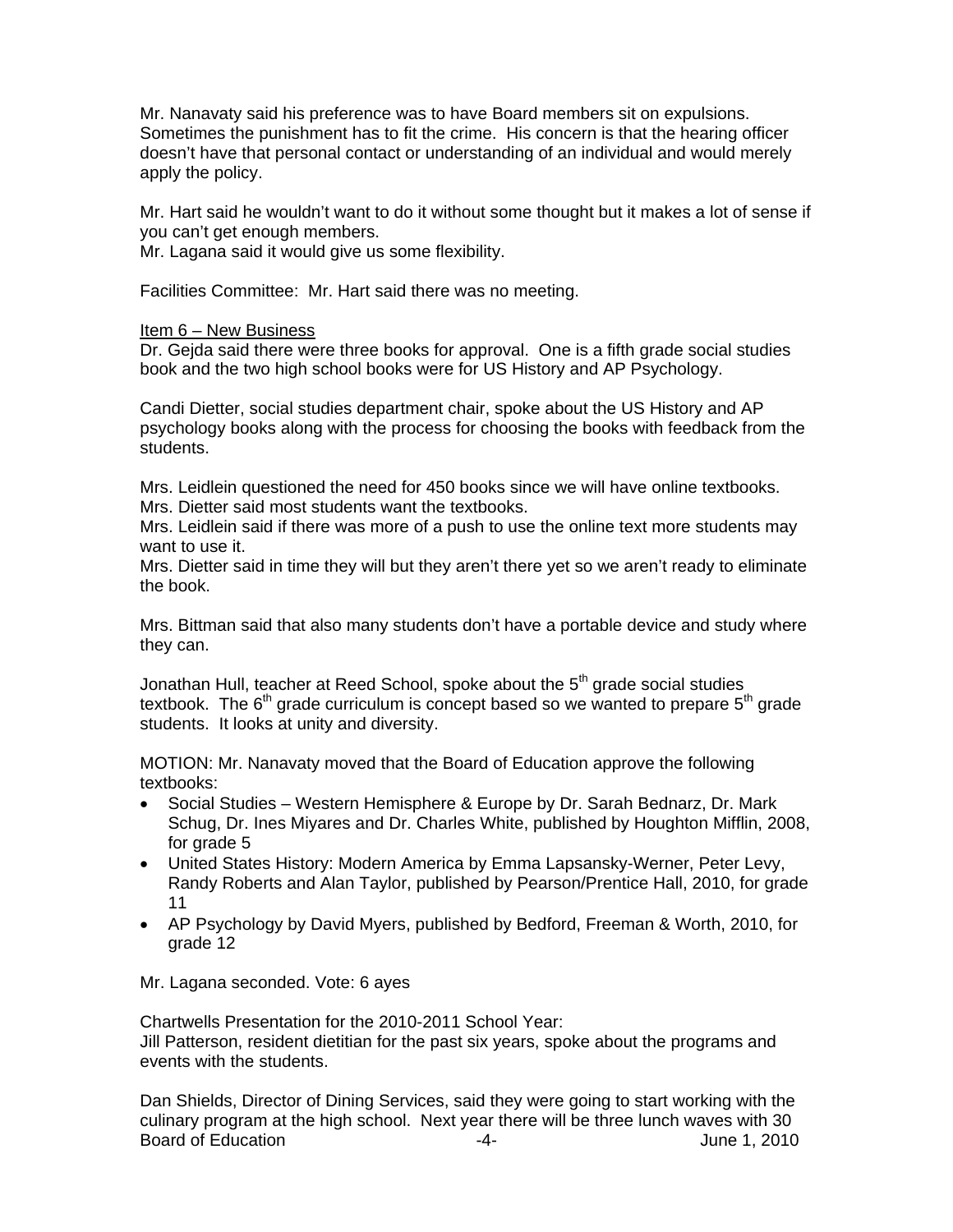Mr. Nanavaty said his preference was to have Board members sit on expulsions. Sometimes the punishment has to fit the crime. His concern is that the hearing officer doesn't have that personal contact or understanding of an individual and would merely apply the policy.

Mr. Hart said he wouldn't want to do it without some thought but it makes a lot of sense if you can't get enough members.

Mr. Lagana said it would give us some flexibility.

Facilities Committee: Mr. Hart said there was no meeting.

### Item 6 – New Business

Dr. Gejda said there were three books for approval. One is a fifth grade social studies book and the two high school books were for US History and AP Psychology.

Candi Dietter, social studies department chair, spoke about the US History and AP psychology books along with the process for choosing the books with feedback from the students.

Mrs. Leidlein questioned the need for 450 books since we will have online textbooks. Mrs. Dietter said most students want the textbooks.

Mrs. Leidlein said if there was more of a push to use the online text more students may want to use it.

Mrs. Dietter said in time they will but they aren't there yet so we aren't ready to eliminate the book.

Mrs. Bittman said that also many students don't have a portable device and study where they can.

Jonathan Hull, teacher at Reed School, spoke about the  $5<sup>th</sup>$  grade social studies textbook. The  $6<sup>th</sup>$  grade curriculum is concept based so we wanted to prepare  $5<sup>th</sup>$  grade students. It looks at unity and diversity.

MOTION: Mr. Nanavaty moved that the Board of Education approve the following textbooks:

- Social Studies Western Hemisphere & Europe by Dr. Sarah Bednarz, Dr. Mark Schug, Dr. Ines Miyares and Dr. Charles White, published by Houghton Mifflin, 2008, for grade 5
- United States History: Modern America by Emma Lapsansky-Werner, Peter Levy, Randy Roberts and Alan Taylor, published by Pearson/Prentice Hall, 2010, for grade 11
- AP Psychology by David Myers, published by Bedford, Freeman & Worth, 2010, for grade 12

Mr. Lagana seconded. Vote: 6 ayes

Chartwells Presentation for the 2010-2011 School Year: Jill Patterson, resident dietitian for the past six years, spoke about the programs and events with the students.

Dan Shields, Director of Dining Services, said they were going to start working with the culinary program at the high school. Next year there will be three lunch waves with 30 Board of Education **Contract Contract Contract Contract Contract Contract Contract Contract Contract Contract Contract Contract Contract Contract Contract Contract Contract Contract Contract Contract Contract Contract Cont**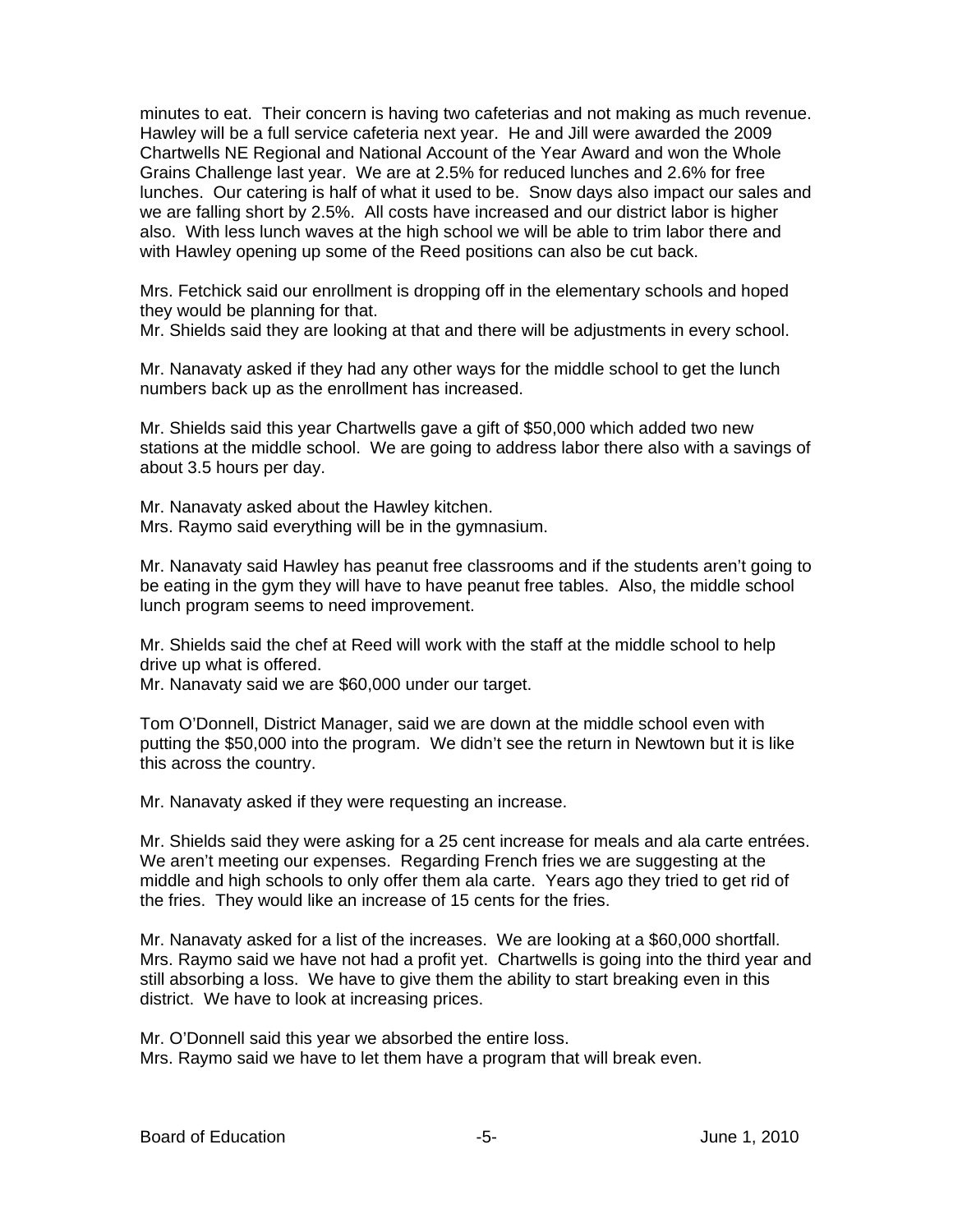minutes to eat. Their concern is having two cafeterias and not making as much revenue. Hawley will be a full service cafeteria next year. He and Jill were awarded the 2009 Chartwells NE Regional and National Account of the Year Award and won the Whole Grains Challenge last year. We are at 2.5% for reduced lunches and 2.6% for free lunches. Our catering is half of what it used to be. Snow days also impact our sales and we are falling short by 2.5%. All costs have increased and our district labor is higher also. With less lunch waves at the high school we will be able to trim labor there and with Hawley opening up some of the Reed positions can also be cut back.

Mrs. Fetchick said our enrollment is dropping off in the elementary schools and hoped they would be planning for that.

Mr. Shields said they are looking at that and there will be adjustments in every school.

Mr. Nanavaty asked if they had any other ways for the middle school to get the lunch numbers back up as the enrollment has increased.

Mr. Shields said this year Chartwells gave a gift of \$50,000 which added two new stations at the middle school. We are going to address labor there also with a savings of about 3.5 hours per day.

Mr. Nanavaty asked about the Hawley kitchen. Mrs. Raymo said everything will be in the gymnasium.

Mr. Nanavaty said Hawley has peanut free classrooms and if the students aren't going to be eating in the gym they will have to have peanut free tables. Also, the middle school lunch program seems to need improvement.

Mr. Shields said the chef at Reed will work with the staff at the middle school to help drive up what is offered.

Mr. Nanavaty said we are \$60,000 under our target.

Tom O'Donnell, District Manager, said we are down at the middle school even with putting the \$50,000 into the program. We didn't see the return in Newtown but it is like this across the country.

Mr. Nanavaty asked if they were requesting an increase.

Mr. Shields said they were asking for a 25 cent increase for meals and ala carte entrées. We aren't meeting our expenses. Regarding French fries we are suggesting at the middle and high schools to only offer them ala carte. Years ago they tried to get rid of the fries. They would like an increase of 15 cents for the fries.

Mr. Nanavaty asked for a list of the increases. We are looking at a \$60,000 shortfall. Mrs. Raymo said we have not had a profit yet. Chartwells is going into the third year and still absorbing a loss. We have to give them the ability to start breaking even in this district. We have to look at increasing prices.

Mr. O'Donnell said this year we absorbed the entire loss. Mrs. Raymo said we have to let them have a program that will break even.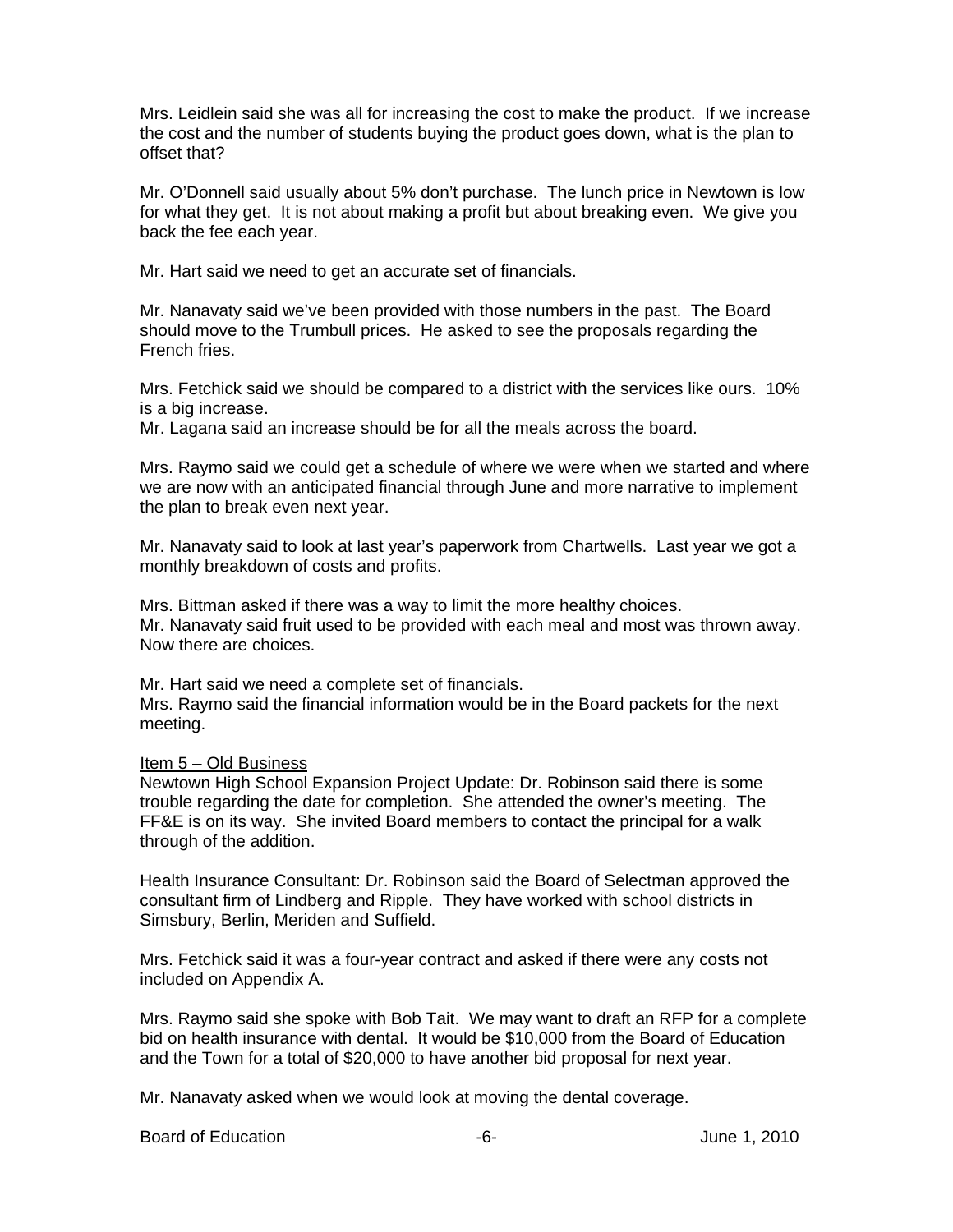Mrs. Leidlein said she was all for increasing the cost to make the product. If we increase the cost and the number of students buying the product goes down, what is the plan to offset that?

Mr. O'Donnell said usually about 5% don't purchase. The lunch price in Newtown is low for what they get. It is not about making a profit but about breaking even. We give you back the fee each year.

Mr. Hart said we need to get an accurate set of financials.

Mr. Nanavaty said we've been provided with those numbers in the past. The Board should move to the Trumbull prices. He asked to see the proposals regarding the French fries.

Mrs. Fetchick said we should be compared to a district with the services like ours. 10% is a big increase.

Mr. Lagana said an increase should be for all the meals across the board.

Mrs. Raymo said we could get a schedule of where we were when we started and where we are now with an anticipated financial through June and more narrative to implement the plan to break even next year.

Mr. Nanavaty said to look at last year's paperwork from Chartwells. Last year we got a monthly breakdown of costs and profits.

Mrs. Bittman asked if there was a way to limit the more healthy choices. Mr. Nanavaty said fruit used to be provided with each meal and most was thrown away. Now there are choices.

Mr. Hart said we need a complete set of financials. Mrs. Raymo said the financial information would be in the Board packets for the next meeting.

### Item 5 – Old Business

Newtown High School Expansion Project Update: Dr. Robinson said there is some trouble regarding the date for completion. She attended the owner's meeting. The FF&E is on its way. She invited Board members to contact the principal for a walk through of the addition.

Health Insurance Consultant: Dr. Robinson said the Board of Selectman approved the consultant firm of Lindberg and Ripple. They have worked with school districts in Simsbury, Berlin, Meriden and Suffield.

Mrs. Fetchick said it was a four-year contract and asked if there were any costs not included on Appendix A.

Mrs. Raymo said she spoke with Bob Tait. We may want to draft an RFP for a complete bid on health insurance with dental. It would be \$10,000 from the Board of Education and the Town for a total of \$20,000 to have another bid proposal for next year.

Mr. Nanavaty asked when we would look at moving the dental coverage.

Board of Education **-6-** Figure 1, 2010 **-6-** Figure 1, 2010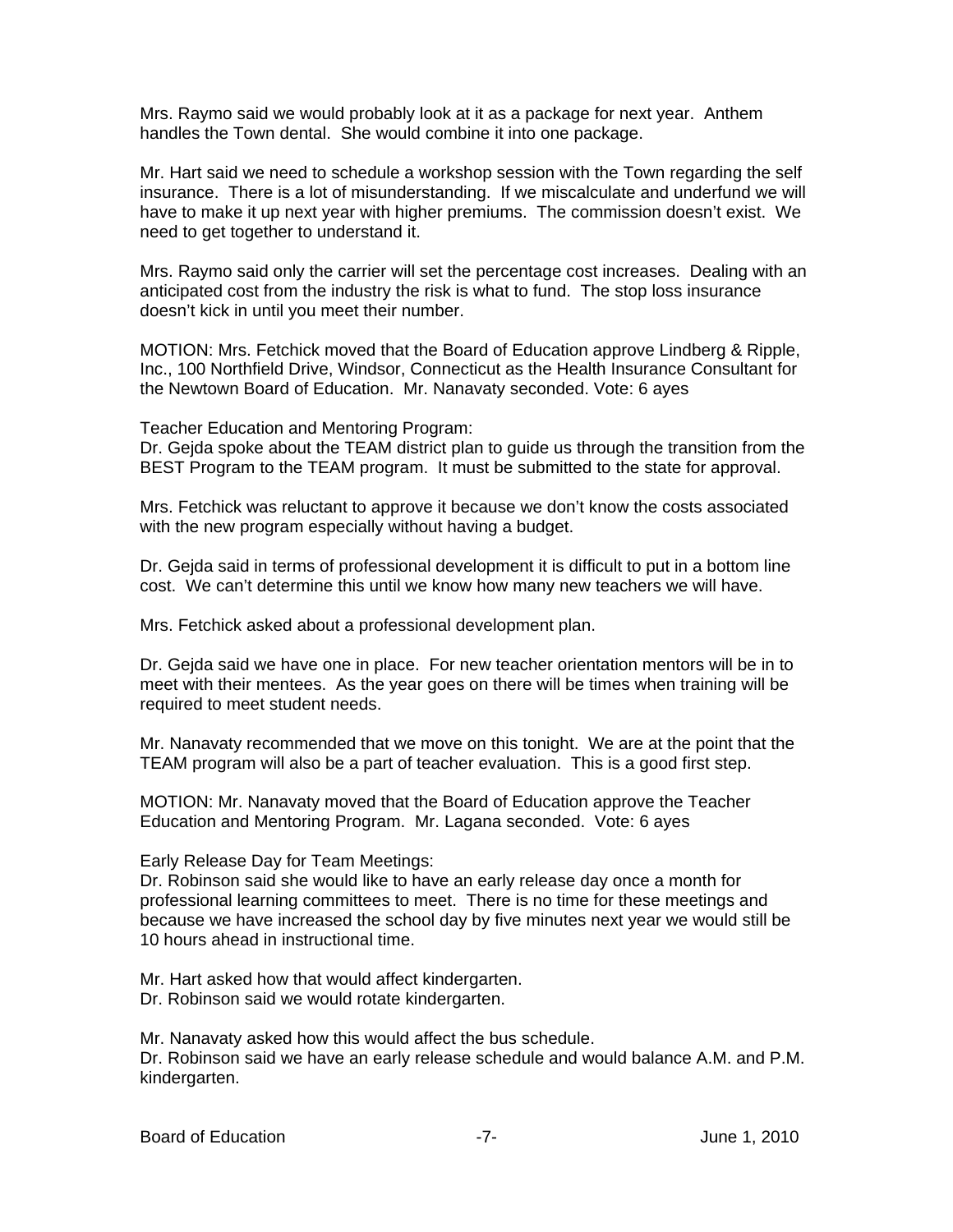Mrs. Raymo said we would probably look at it as a package for next year. Anthem handles the Town dental. She would combine it into one package.

Mr. Hart said we need to schedule a workshop session with the Town regarding the self insurance. There is a lot of misunderstanding. If we miscalculate and underfund we will have to make it up next year with higher premiums. The commission doesn't exist. We need to get together to understand it.

Mrs. Raymo said only the carrier will set the percentage cost increases. Dealing with an anticipated cost from the industry the risk is what to fund. The stop loss insurance doesn't kick in until you meet their number.

MOTION: Mrs. Fetchick moved that the Board of Education approve Lindberg & Ripple, Inc., 100 Northfield Drive, Windsor, Connecticut as the Health Insurance Consultant for the Newtown Board of Education. Mr. Nanavaty seconded. Vote: 6 ayes

Teacher Education and Mentoring Program:

Dr. Gejda spoke about the TEAM district plan to guide us through the transition from the BEST Program to the TEAM program. It must be submitted to the state for approval.

Mrs. Fetchick was reluctant to approve it because we don't know the costs associated with the new program especially without having a budget.

Dr. Gejda said in terms of professional development it is difficult to put in a bottom line cost. We can't determine this until we know how many new teachers we will have.

Mrs. Fetchick asked about a professional development plan.

Dr. Gejda said we have one in place. For new teacher orientation mentors will be in to meet with their mentees. As the year goes on there will be times when training will be required to meet student needs.

Mr. Nanavaty recommended that we move on this tonight. We are at the point that the TEAM program will also be a part of teacher evaluation. This is a good first step.

MOTION: Mr. Nanavaty moved that the Board of Education approve the Teacher Education and Mentoring Program. Mr. Lagana seconded. Vote: 6 ayes

Early Release Day for Team Meetings:

Dr. Robinson said she would like to have an early release day once a month for professional learning committees to meet. There is no time for these meetings and because we have increased the school day by five minutes next year we would still be 10 hours ahead in instructional time.

Mr. Hart asked how that would affect kindergarten.

Dr. Robinson said we would rotate kindergarten.

Mr. Nanavaty asked how this would affect the bus schedule.

Dr. Robinson said we have an early release schedule and would balance A.M. and P.M. kindergarten.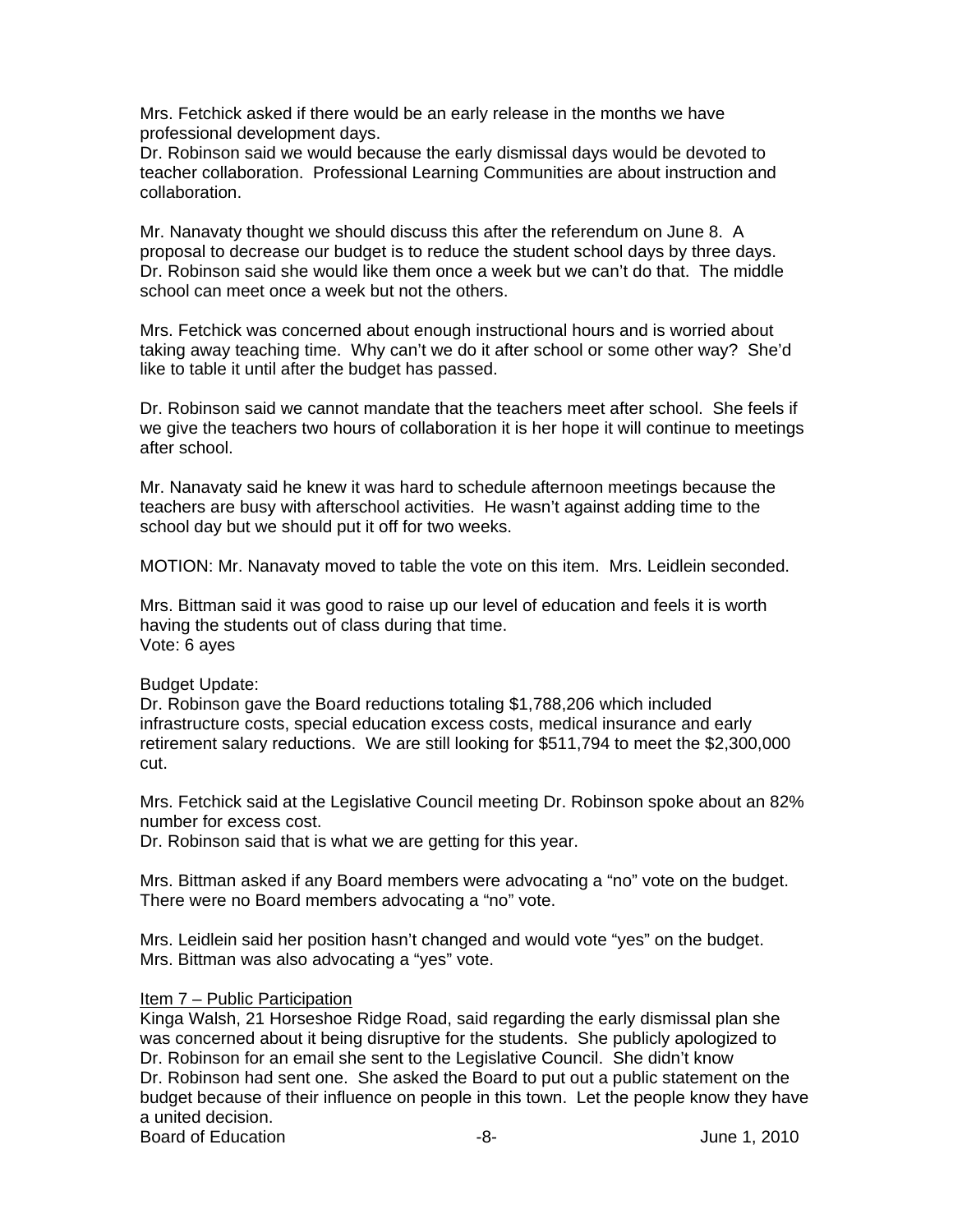Mrs. Fetchick asked if there would be an early release in the months we have professional development days.

Dr. Robinson said we would because the early dismissal days would be devoted to teacher collaboration. Professional Learning Communities are about instruction and collaboration.

Mr. Nanavaty thought we should discuss this after the referendum on June 8. A proposal to decrease our budget is to reduce the student school days by three days. Dr. Robinson said she would like them once a week but we can't do that. The middle school can meet once a week but not the others.

Mrs. Fetchick was concerned about enough instructional hours and is worried about taking away teaching time. Why can't we do it after school or some other way? She'd like to table it until after the budget has passed.

Dr. Robinson said we cannot mandate that the teachers meet after school. She feels if we give the teachers two hours of collaboration it is her hope it will continue to meetings after school.

Mr. Nanavaty said he knew it was hard to schedule afternoon meetings because the teachers are busy with afterschool activities. He wasn't against adding time to the school day but we should put it off for two weeks.

MOTION: Mr. Nanavaty moved to table the vote on this item. Mrs. Leidlein seconded.

Mrs. Bittman said it was good to raise up our level of education and feels it is worth having the students out of class during that time. Vote: 6 ayes

### Budget Update:

Dr. Robinson gave the Board reductions totaling \$1,788,206 which included infrastructure costs, special education excess costs, medical insurance and early retirement salary reductions. We are still looking for \$511,794 to meet the \$2,300,000 cut.

Mrs. Fetchick said at the Legislative Council meeting Dr. Robinson spoke about an 82% number for excess cost.

Dr. Robinson said that is what we are getting for this year.

Mrs. Bittman asked if any Board members were advocating a "no" vote on the budget. There were no Board members advocating a "no" vote.

Mrs. Leidlein said her position hasn't changed and would vote "yes" on the budget. Mrs. Bittman was also advocating a "yes" vote.

### Item 7 – Public Participation

Kinga Walsh, 21 Horseshoe Ridge Road, said regarding the early dismissal plan she was concerned about it being disruptive for the students. She publicly apologized to Dr. Robinson for an email she sent to the Legislative Council. She didn't know Dr. Robinson had sent one. She asked the Board to put out a public statement on the budget because of their influence on people in this town. Let the people know they have a united decision.

Board of Education **-8-** Figure 1, 2010 **-8-** Figure 1, 2010